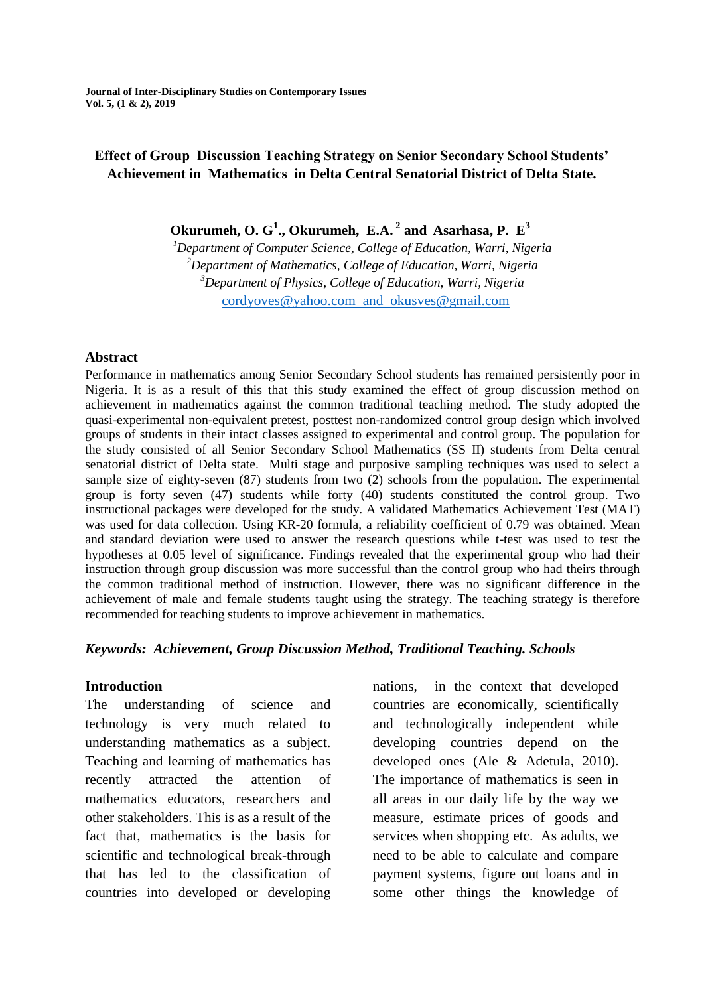**Journal of Inter-Disciplinary Studies on Contemporary Issues Vol. 5, (1 & 2), 2019**

# **Effect of Group Discussion Teaching Strategy on Senior Secondary School Students' Achievement in Mathematics in Delta Central Senatorial District of Delta State.**

**Okurumeh, O. G<sup>1</sup> ., Okurumeh, E.A. <sup>2</sup> and Asarhasa, P. E<sup>3</sup>**

*Department of Computer Science, College of Education, Warri, Nigeria Department of Mathematics, College of Education, Warri, Nigeria Department of Physics, College of Education, Warri, Nigeria* [cordyoves@yahoo.com](mailto:cordyoves@yahoo.com) and [okusves@gmail.com](mailto:okusves@gmail.com)

#### **Abstract**

Performance in mathematics among Senior Secondary School students has remained persistently poor in Nigeria. It is as a result of this that this study examined the effect of group discussion method on achievement in mathematics against the common traditional teaching method. The study adopted the quasi-experimental non-equivalent pretest, posttest non-randomized control group design which involved groups of students in their intact classes assigned to experimental and control group. The population for the study consisted of all Senior Secondary School Mathematics (SS II) students from Delta central senatorial district of Delta state. Multi stage and purposive sampling techniques was used to select a sample size of eighty-seven (87) students from two (2) schools from the population. The experimental group is forty seven (47) students while forty (40) students constituted the control group. Two instructional packages were developed for the study. A validated Mathematics Achievement Test (MAT) was used for data collection. Using KR-20 formula, a reliability coefficient of 0.79 was obtained. Mean and standard deviation were used to answer the research questions while t-test was used to test the hypotheses at 0.05 level of significance. Findings revealed that the experimental group who had their instruction through group discussion was more successful than the control group who had theirs through the common traditional method of instruction. However, there was no significant difference in the achievement of male and female students taught using the strategy. The teaching strategy is therefore recommended for teaching students to improve achievement in mathematics.

#### *Keywords: Achievement, Group Discussion Method, Traditional Teaching. Schools*

#### **Introduction**

The understanding of science and technology is very much related to understanding mathematics as a subject. Teaching and learning of mathematics has recently attracted the attention of mathematics educators, researchers and other stakeholders. This is as a result of the fact that, mathematics is the basis for scientific and technological break-through that has led to the classification of countries into developed or developing nations, in the context that developed countries are economically, scientifically and technologically independent while developing countries depend on the developed ones (Ale & Adetula, 2010). The importance of mathematics is seen in all areas in our daily life by the way we measure, estimate prices of goods and services when shopping etc. As adults, we need to be able to calculate and compare payment systems, figure out loans and in some other things the knowledge of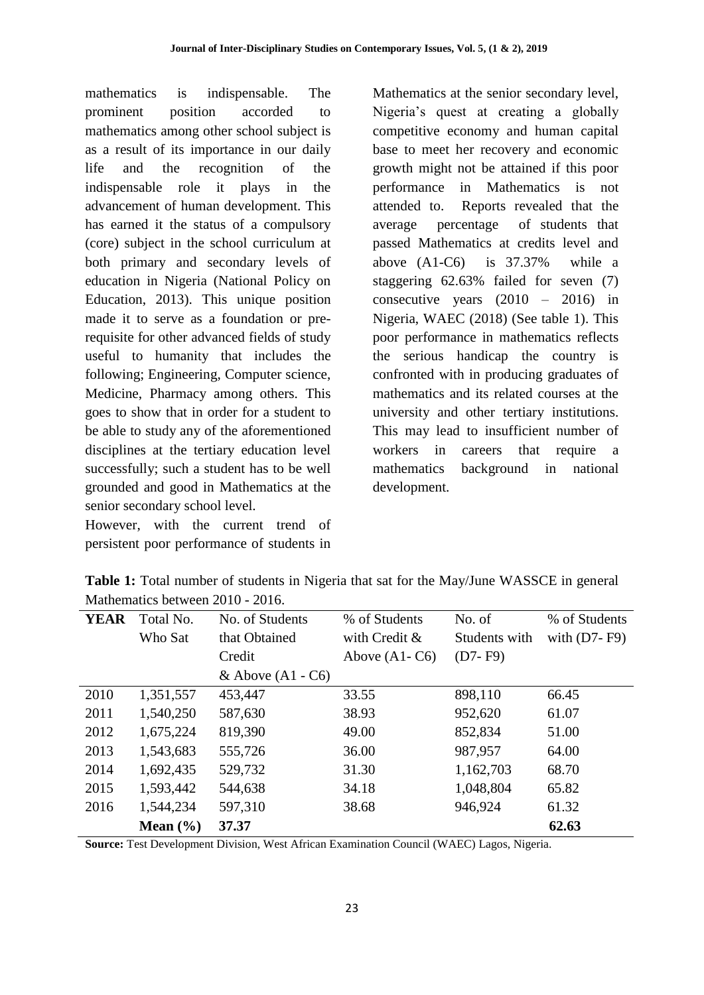mathematics is indispensable. The prominent position accorded to mathematics among other school subject is as a result of its importance in our daily life and the recognition of the indispensable role it plays in the advancement of human development. This has earned it the status of a compulsory (core) subject in the school curriculum at both primary and secondary levels of education in Nigeria (National Policy on Education, 2013). This unique position made it to serve as a foundation or prerequisite for other advanced fields of study useful to humanity that includes the following; Engineering, Computer science, Medicine, Pharmacy among others. This goes to show that in order for a student to be able to study any of the aforementioned disciplines at the tertiary education level successfully; such a student has to be well grounded and good in Mathematics at the senior secondary school level.

However, with the current trend of persistent poor performance of students in Mathematics at the senior secondary level, Nigeria's quest at creating a globally competitive economy and human capital base to meet her recovery and economic growth might not be attained if this poor performance in Mathematics is not attended to. Reports revealed that the average percentage of students that passed Mathematics at credits level and above (A1-C6) is 37.37% while a staggering 62.63% failed for seven (7) consecutive years  $(2010 - 2016)$  in Nigeria, WAEC (2018) (See table 1). This poor performance in mathematics reflects the serious handicap the country is confronted with in producing graduates of mathematics and its related courses at the university and other tertiary institutions. This may lead to insufficient number of workers in careers that require a mathematics background in national development.

| Mathematics between 2010 - 2016. |           |                     |                 |               |                  |  |  |  |
|----------------------------------|-----------|---------------------|-----------------|---------------|------------------|--|--|--|
| <b>YEAR</b>                      | Total No. | No. of Students     | % of Students   | No. of        | % of Students    |  |  |  |
|                                  | Who Sat   | that Obtained       | with Credit &   | Students with | with $(D7 - F9)$ |  |  |  |
|                                  |           | Credit              | Above $(A1-C6)$ | $(D7 - F9)$   |                  |  |  |  |
|                                  |           | & Above $(A1 - C6)$ |                 |               |                  |  |  |  |
| 2010                             | 1,351,557 | 453,447             | 33.55           | 898,110       | 66.45            |  |  |  |
| 2011                             | 1,540,250 | 587,630             | 38.93           | 952,620       | 61.07            |  |  |  |
| 2012                             | 1,675,224 | 819,390             | 49.00           | 852,834       | 51.00            |  |  |  |
| 2013                             | 1,543,683 | 555,726             | 36.00           | 987,957       | 64.00            |  |  |  |
| 2014                             | 1,692,435 | 529,732             | 31.30           | 1,162,703     | 68.70            |  |  |  |
| 2015                             | 1,593,442 | 544,638             | 34.18           | 1,048,804     | 65.82            |  |  |  |
| 2016                             | 1,544,234 | 597,310             | 38.68           | 946,924       | 61.32            |  |  |  |

**Table 1:** Total number of students in Nigeria that sat for the May/June WASSCE in general  $M_d = \frac{1}{2}$  1. 2010 - 2016

**Source:** Test Development Division, West African Examination Council (WAEC) Lagos, Nigeria.

**Mean (%) 37.37 62.63**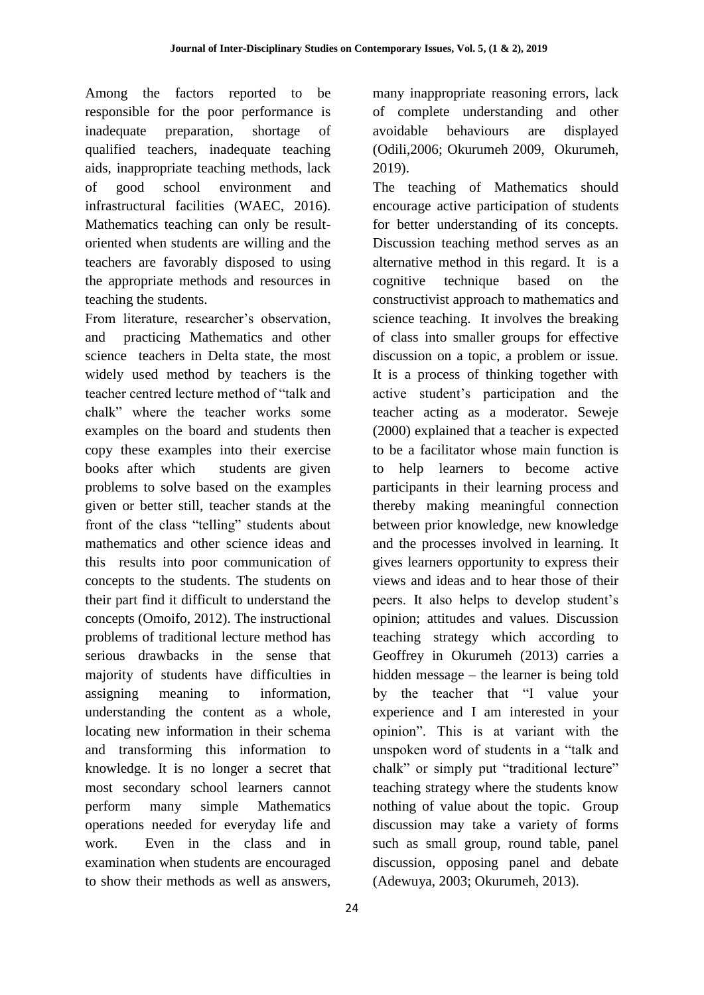Among the factors reported to be responsible for the poor performance is inadequate preparation, shortage of qualified teachers, inadequate teaching aids, inappropriate teaching methods, lack of good school environment and infrastructural facilities (WAEC, 2016). Mathematics teaching can only be resultoriented when students are willing and the teachers are favorably disposed to using the appropriate methods and resources in teaching the students.

From literature, researcher's observation, and practicing Mathematics and other science teachers in Delta state, the most widely used method by teachers is the teacher centred lecture method of "talk and chalk" where the teacher works some examples on the board and students then copy these examples into their exercise books after which students are given problems to solve based on the examples given or better still, teacher stands at the front of the class "telling" students about mathematics and other science ideas and this results into poor communication of concepts to the students. The students on their part find it difficult to understand the concepts (Omoifo, 2012). The instructional problems of traditional lecture method has serious drawbacks in the sense that majority of students have difficulties in assigning meaning to information, understanding the content as a whole, locating new information in their schema and transforming this information to knowledge. It is no longer a secret that most secondary school learners cannot perform many simple Mathematics operations needed for everyday life and work. Even in the class and in examination when students are encouraged to show their methods as well as answers,

many inappropriate reasoning errors, lack of complete understanding and other avoidable behaviours are displayed (Odili,2006; Okurumeh 2009, Okurumeh, 2019).

The teaching of Mathematics should encourage active participation of students for better understanding of its concepts. Discussion teaching method serves as an alternative method in this regard. It is a cognitive technique based on the constructivist approach to mathematics and science teaching. It involves the breaking of class into smaller groups for effective discussion on a topic, a problem or issue. It is a process of thinking together with active student's participation and the teacher acting as a moderator. Seweje (2000) explained that a teacher is expected to be a facilitator whose main function is to help learners to become active participants in their learning process and thereby making meaningful connection between prior knowledge, new knowledge and the processes involved in learning. It gives learners opportunity to express their views and ideas and to hear those of their peers. It also helps to develop student's opinion; attitudes and values. Discussion teaching strategy which according to Geoffrey in Okurumeh (2013) carries a hidden message – the learner is being told by the teacher that "I value your experience and I am interested in your opinion". This is at variant with the unspoken word of students in a "talk and chalk" or simply put "traditional lecture" teaching strategy where the students know nothing of value about the topic. Group discussion may take a variety of forms such as small group, round table, panel discussion, opposing panel and debate (Adewuya, 2003; Okurumeh, 2013).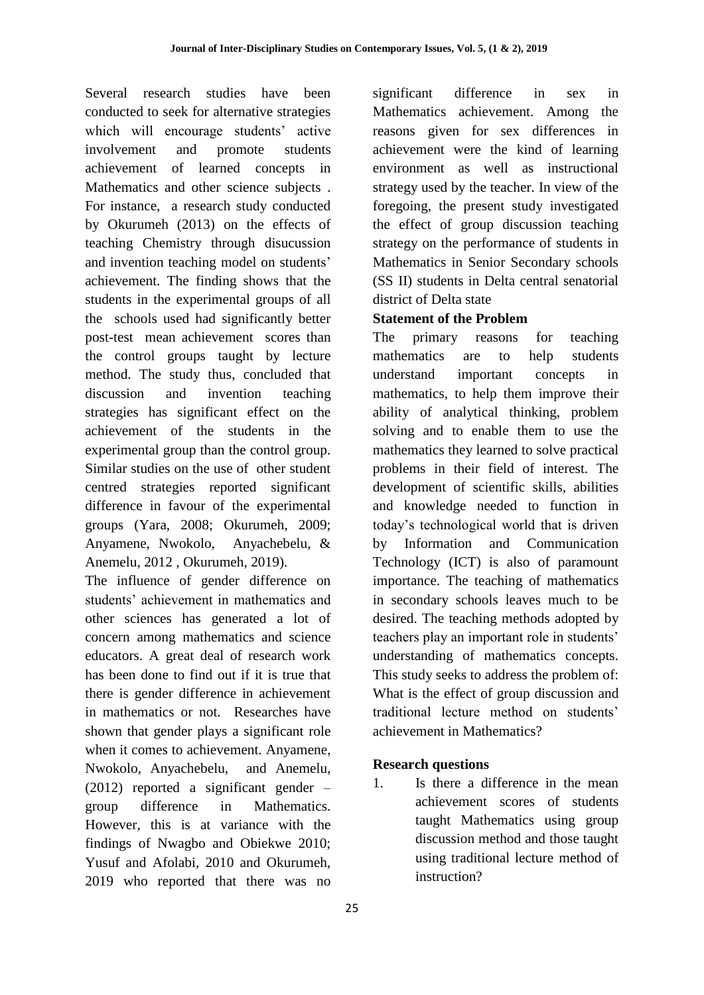Several research studies have been conducted to seek for alternative strategies which will encourage students' active involvement and promote students achievement of learned concepts in Mathematics and other science subjects . For instance, a research study conducted by Okurumeh (2013) on the effects of teaching Chemistry through disucussion and invention teaching model on students' achievement. The finding shows that the students in the experimental groups of all the schools used had significantly better post-test mean achievement scores than the control groups taught by lecture method. The study thus, concluded that discussion and invention teaching strategies has significant effect on the achievement of the students in the experimental group than the control group. Similar studies on the use of other student centred strategies reported significant difference in favour of the experimental groups (Yara, 2008; Okurumeh, 2009; Anyamene, Nwokolo, Anyachebelu, & Anemelu, 2012 , Okurumeh, 2019).

The influence of gender difference on students' achievement in mathematics and other sciences has generated a lot of concern among mathematics and science educators. A great deal of research work has been done to find out if it is true that there is gender difference in achievement in mathematics or not. Researches have shown that gender plays a significant role when it comes to achievement. Anyamene, Nwokolo, Anyachebelu, and Anemelu, (2012) reported a significant gender – group difference in Mathematics. However, this is at variance with the findings of Nwagbo and Obiekwe 2010; Yusuf and Afolabi, 2010 and Okurumeh, 2019 who reported that there was no significant difference in sex in Mathematics achievement. Among the reasons given for sex differences in achievement were the kind of learning environment as well as instructional strategy used by the teacher. In view of the foregoing, the present study investigated the effect of group discussion teaching strategy on the performance of students in Mathematics in Senior Secondary schools (SS II) students in Delta central senatorial district of Delta state

# **Statement of the Problem**

The primary reasons for teaching mathematics are to help students understand important concepts in mathematics, to help them improve their ability of analytical thinking, problem solving and to enable them to use the mathematics they learned to solve practical problems in their field of interest. The development of scientific skills, abilities and knowledge needed to function in today's technological world that is driven by Information and Communication Technology (ICT) is also of paramount importance. The teaching of mathematics in secondary schools leaves much to be desired. The teaching methods adopted by teachers play an important role in students' understanding of mathematics concepts. This study seeks to address the problem of: What is the effect of group discussion and traditional lecture method on students' achievement in Mathematics?

# **Research questions**

1. Is there a difference in the mean achievement scores of students taught Mathematics using group discussion method and those taught using traditional lecture method of instruction?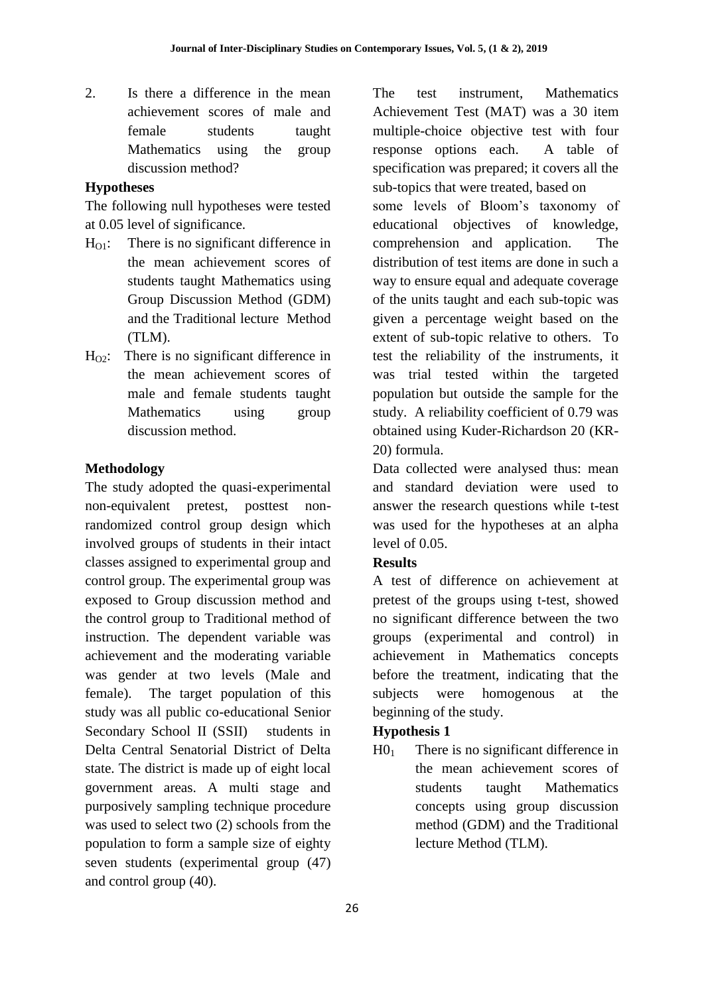2. Is there a difference in the mean achievement scores of male and female students taught Mathematics using the group discussion method?

### **Hypotheses**

The following null hypotheses were tested at 0.05 level of significance.

- $H_{01}$ : There is no significant difference in the mean achievement scores of students taught Mathematics using Group Discussion Method (GDM) and the Traditional lecture Method (TLM).
- $H_{\Omega}$ : There is no significant difference in the mean achievement scores of male and female students taught Mathematics using group discussion method.

# **Methodology**

The study adopted the quasi-experimental non-equivalent pretest, posttest nonrandomized control group design which involved groups of students in their intact classes assigned to experimental group and control group. The experimental group was exposed to Group discussion method and the control group to Traditional method of instruction. The dependent variable was achievement and the moderating variable was gender at two levels (Male and female). The target population of this study was all public co-educational Senior Secondary School II (SSII) students in Delta Central Senatorial District of Delta state. The district is made up of eight local government areas. A multi stage and purposively sampling technique procedure was used to select two (2) schools from the population to form a sample size of eighty seven students (experimental group (47) and control group (40).

The test instrument, Mathematics Achievement Test (MAT) was a 30 item multiple-choice objective test with four response options each. A table of specification was prepared; it covers all the sub-topics that were treated, based on some levels of Bloom's taxonomy of educational objectives of knowledge, comprehension and application. The distribution of test items are done in such a way to ensure equal and adequate coverage of the units taught and each sub-topic was given a percentage weight based on the extent of sub-topic relative to others. To

test the reliability of the instruments, it was trial tested within the targeted population but outside the sample for the study. A reliability coefficient of 0.79 was obtained using Kuder-Richardson 20 (KR-20) formula.

Data collected were analysed thus: mean and standard deviation were used to answer the research questions while t-test was used for the hypotheses at an alpha level of 0.05.

# **Results**

A test of difference on achievement at pretest of the groups using t-test, showed no significant difference between the two groups (experimental and control) in achievement in Mathematics concepts before the treatment, indicating that the subjects were homogenous at the beginning of the study.

# **Hypothesis 1**

 $H_0$  There is no significant difference in the mean achievement scores of students taught Mathematics concepts using group discussion method (GDM) and the Traditional lecture Method (TLM).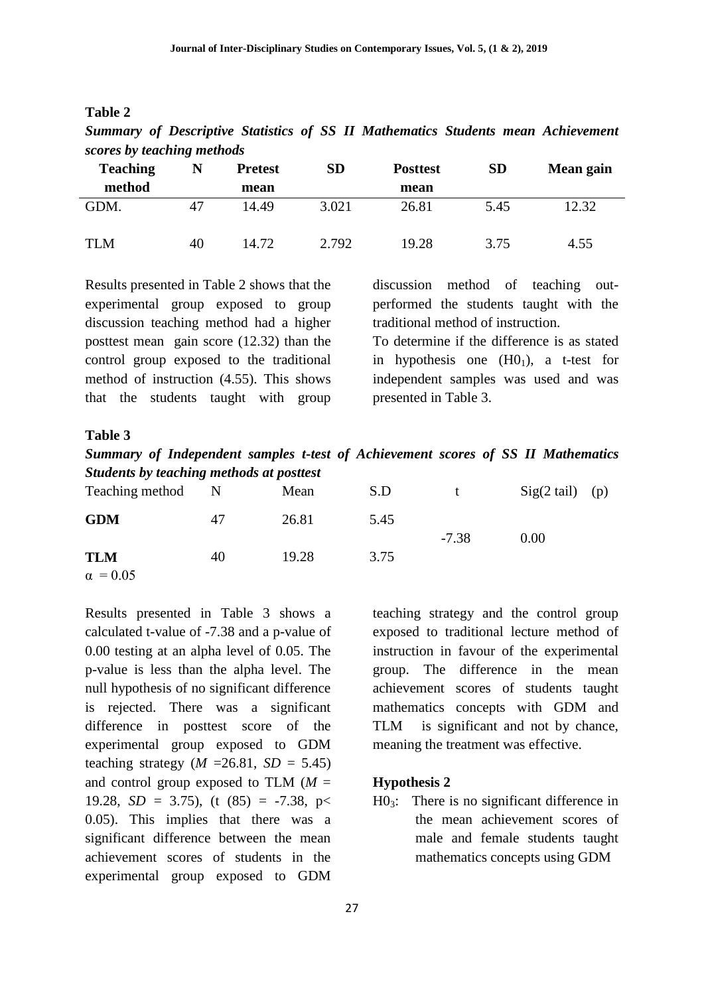| abie |  |
|------|--|
|------|--|

| scores by leaching memous |    |                |           |                 |           |           |  |
|---------------------------|----|----------------|-----------|-----------------|-----------|-----------|--|
| <b>Teaching</b>           |    | <b>Pretest</b> | <b>SD</b> | <b>Posttest</b> | <b>SD</b> | Mean gain |  |
| method                    |    | mean           |           | mean            |           |           |  |
| GDM.                      | 47 | 14.49          | 3.021     | 26.81           | 5.45      | 12.32     |  |
| <b>TLM</b>                | 40 | 14.72          | 2.792     | 19.28           | 3.75      | 4.55      |  |

*Summary of Descriptive Statistics of SS II Mathematics Students mean Achievement scores by teaching methods*

Results presented in Table 2 shows that the experimental group exposed to group discussion teaching method had a higher posttest mean gain score (12.32) than the control group exposed to the traditional method of instruction (4.55). This shows that the students taught with group

discussion method of teaching outperformed the students taught with the traditional method of instruction.

To determine if the difference is as stated in hypothesis one  $(H0<sub>1</sub>)$ , a t-test for independent samples was used and was presented in Table 3.

#### **Table 3**

*Summary of Independent samples t-test of Achievement scores of SS II Mathematics Students by teaching methods at posttest*

| Teaching method               | $\mathbb N$ | Mean  | S.D  |         | $Sig(2 tail)$ (p) |  |
|-------------------------------|-------------|-------|------|---------|-------------------|--|
| <b>GDM</b>                    | 47          | 26.81 | 5.45 |         |                   |  |
| <b>TLM</b><br>$\alpha = 0.05$ | 40          | 19.28 | 3.75 | $-7.38$ | 0.00              |  |

Results presented in Table 3 shows a calculated t-value of -7.38 and a p-value of 0.00 testing at an alpha level of 0.05. The p-value is less than the alpha level. The null hypothesis of no significant difference is rejected. There was a significant difference in posttest score of the experimental group exposed to GDM teaching strategy  $(M = 26.81, SD = 5.45)$ and control group exposed to TLM (*M* = 19.28,  $SD = 3.75$ ), (t  $(85) = -7.38$ , p< 0.05). This implies that there was a significant difference between the mean achievement scores of students in the experimental group exposed to GDM

teaching strategy and the control group exposed to traditional lecture method of instruction in favour of the experimental group. The difference in the mean achievement scores of students taught mathematics concepts with GDM and TLM is significant and not by chance, meaning the treatment was effective.

#### **Hypothesis 2**

 $H0<sub>3</sub>$ : There is no significant difference in the mean achievement scores of male and female students taught mathematics concepts using GDM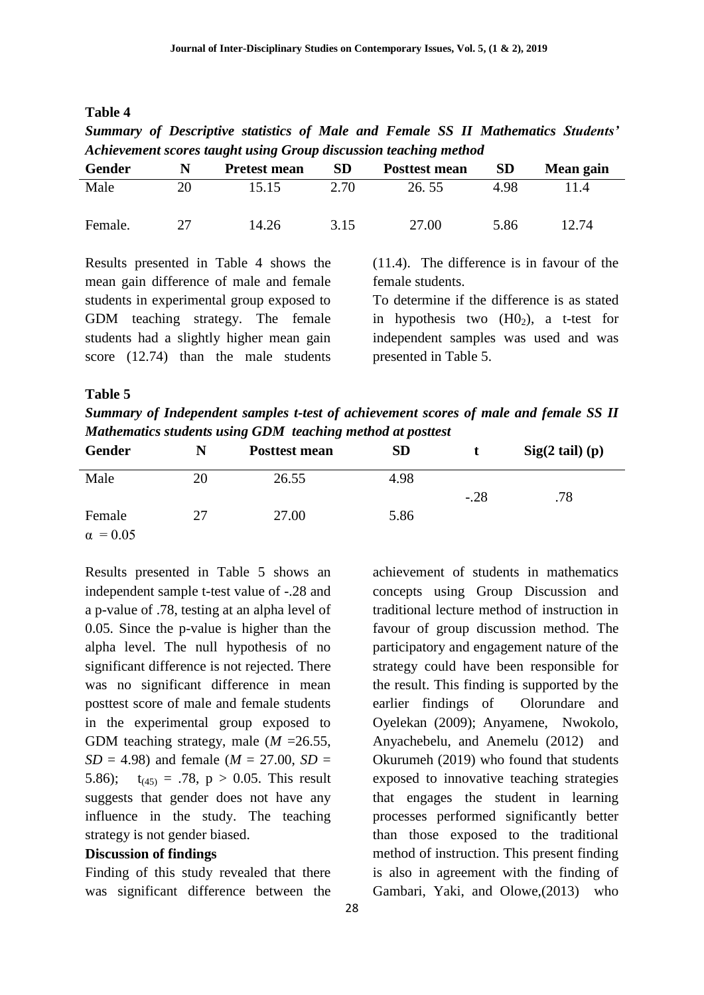| able | 4 |
|------|---|
|------|---|

*Summary of Descriptive statistics of Male and Female SS II Mathematics Students' Achievement scores taught using Group discussion teaching method*

| Gender  | N  | <b>Pretest mean</b> | SD   | <b>Posttest mean</b> | <b>SD</b> | Mean gain |
|---------|----|---------------------|------|----------------------|-----------|-----------|
| Male    | 20 | 15.15               | 2.70 | 26.55                | 4.98      | 11.4      |
| Female. |    | 14.26               | 3.15 | 27.00                | 5.86      | 12.74     |

Results presented in Table 4 shows the mean gain difference of male and female students in experimental group exposed to GDM teaching strategy. The female students had a slightly higher mean gain score (12.74) than the male students (11.4). The difference is in favour of the female students.

To determine if the difference is as stated in hypothesis two  $(H0<sub>2</sub>)$ , a t-test for independent samples was used and was presented in Table 5.

#### **Table 5**

*Summary of Independent samples t-test of achievement scores of male and female SS II Mathematics students using GDM teaching method at posttest*

| Gender          | N  | <b>Posttest mean</b> | <b>SD</b> |        | Sig(2 tail) (p) |  |
|-----------------|----|----------------------|-----------|--------|-----------------|--|
| Male            | 20 | 26.55                | 4.98      |        |                 |  |
|                 |    |                      |           | $-.28$ | .78             |  |
| Female          | 27 | 27.00                | 5.86      |        |                 |  |
| $\alpha = 0.05$ |    |                      |           |        |                 |  |

Results presented in Table 5 shows an independent sample t-test value of -.28 and a p-value of .78, testing at an alpha level of 0.05. Since the p-value is higher than the alpha level. The null hypothesis of no significant difference is not rejected. There was no significant difference in mean posttest score of male and female students in the experimental group exposed to GDM teaching strategy, male (*M* =26.55, *SD* = 4.98) and female ( $M = 27.00$ , *SD* = 5.86);  $t_{(45)} = .78$ ,  $p > 0.05$ . This result suggests that gender does not have any influence in the study. The teaching strategy is not gender biased.

#### **Discussion of findings**

Finding of this study revealed that there was significant difference between the achievement of students in mathematics concepts using Group Discussion and traditional lecture method of instruction in favour of group discussion method. The participatory and engagement nature of the strategy could have been responsible for the result. This finding is supported by the earlier findings of Olorundare and Oyelekan (2009); Anyamene, Nwokolo, Anyachebelu, and Anemelu (2012) and Okurumeh (2019) who found that students exposed to innovative teaching strategies that engages the student in learning processes performed significantly better than those exposed to the traditional method of instruction. This present finding is also in agreement with the finding of Gambari, Yaki, and Olowe,(2013) who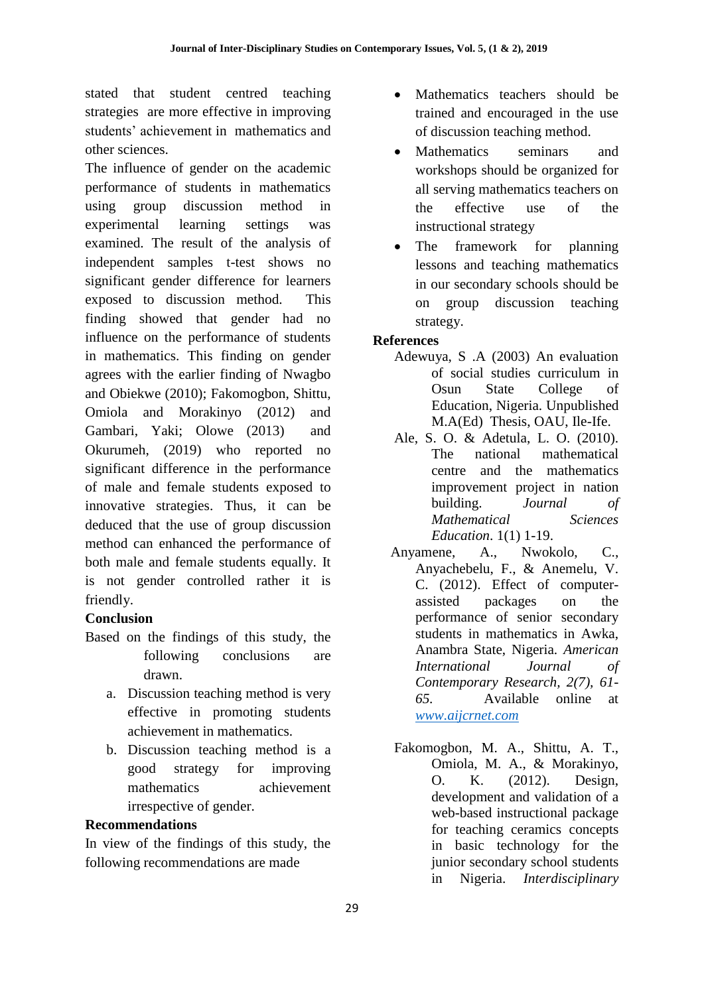stated that student centred teaching strategies are more effective in improving students' achievement in mathematics and other sciences.

The influence of gender on the academic performance of students in mathematics using group discussion method in experimental learning settings was examined. The result of the analysis of independent samples t-test shows no significant gender difference for learners exposed to discussion method. This finding showed that gender had no influence on the performance of students in mathematics. This finding on gender agrees with the earlier finding of Nwagbo and Obiekwe (2010); Fakomogbon, Shittu, Omiola and Morakinyo (2012) and Gambari, Yaki; Olowe (2013) and Okurumeh, (2019) who reported no significant difference in the performance of male and female students exposed to innovative strategies. Thus, it can be deduced that the use of group discussion method can enhanced the performance of both male and female students equally. It is not gender controlled rather it is friendly.

# **Conclusion**

- Based on the findings of this study, the following conclusions are drawn.
	- a. Discussion teaching method is very effective in promoting students achievement in mathematics.
	- b. Discussion teaching method is a good strategy for improving mathematics achievement irrespective of gender.

#### **Recommendations**

In view of the findings of this study, the following recommendations are made

- Mathematics teachers should be trained and encouraged in the use of discussion teaching method.
- Mathematics seminars and workshops should be organized for all serving mathematics teachers on the effective use of the instructional strategy
- The framework for planning lessons and teaching mathematics in our secondary schools should be on group discussion teaching strategy.

# **References**

- Adewuya, S .A (2003) An evaluation of social studies curriculum in Osun State College of Education, Nigeria. Unpublished M.A(Ed) Thesis, OAU, Ile-Ife.
- Ale, S. O. & Adetula, L. O. (2010). The national mathematical centre and the mathematics improvement project in nation building. *Journal of Mathematical Sciences Education*. 1(1) 1-19.
- Anyamene, A., Nwokolo, C., Anyachebelu, F., & Anemelu, V. C. (2012). Effect of computerassisted packages on the performance of senior secondary students in mathematics in Awka, Anambra State, Nigeria. *American International Journal of Contemporary Research, 2(7), 61- 65.* Available online at *[www.aijcrnet.com](http://www.aijcrnet.com/)*
- Fakomogbon, M. A., Shittu, A. T., Omiola, M. A., & Morakinyo, O. K. (2012). Design, development and validation of a web-based instructional package for teaching ceramics concepts in basic technology for the junior secondary school students in Nigeria. *Interdisciplinary*